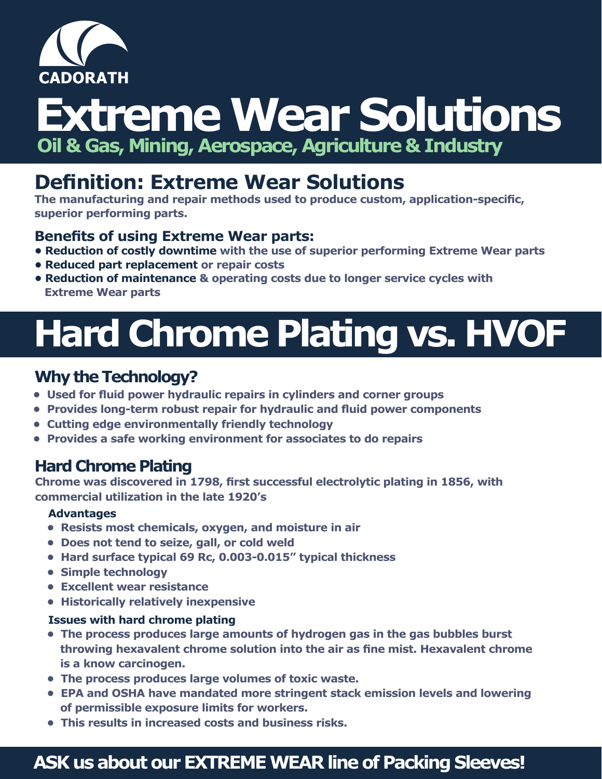

# **Extreme Wear Solutions Oil & Gas, Mining, Aerospace, Agriculture & Industry**

### **Definition: Extreme Wear Solutions**

**The manufacturing and repair methods used to produce custom, application-specific, superior performing parts.**

#### **Benefits of using Extreme Wear parts:**

- **• Reduction of costly downtime with the use of superior performing Extreme Wear parts**
- **• Reduced part replacement or repair costs**
- **• Reduction of maintenance & operating costs due to longer service cycles with Extreme Wear parts**

# **Hard Chrome Plating vs. HVOF**

#### **Why the Technology?**

- **Used for fluid power hydraulic repairs in cylinders and corner groups**
- **Provides long-term robust repair for hydraulic and fluid power components**
- **Cutting edge environmentally friendly technology**
- **Provides a safe working environment for associates to do repairs**

#### **Hard Chrome Plating**

**Chrome was discovered in 1798, first successful electrolytic plating in 1856, with commercial utilization in the late 1920's**

#### **Advantages**

- **Resists most chemicals, oxygen, and moisture in air**
- **Does not tend to seize, gall, or cold weld**
- **Hard surface typical 69 Rc, 0.003-0.015" typical thickness**
- **Simple technology**
- **Excellent wear resistance**
- **Historically relatively inexpensive**

#### **Issues with hard chrome plating**

- **The process produces large amounts of hydrogen gas in the gas bubbles burst throwing hexavalent chrome solution into the air as fine mist. Hexavalent chrome is a know carcinogen.**
- **The process produces large volumes of toxic waste.**
- **EPA and OSHA have mandated more stringent stack emission levels and lowering of permissible exposure limits for workers.**
- **This results in increased costs and business risks.**

### **ASK us about our EXTREME WEAR line of Packing Sleeves!**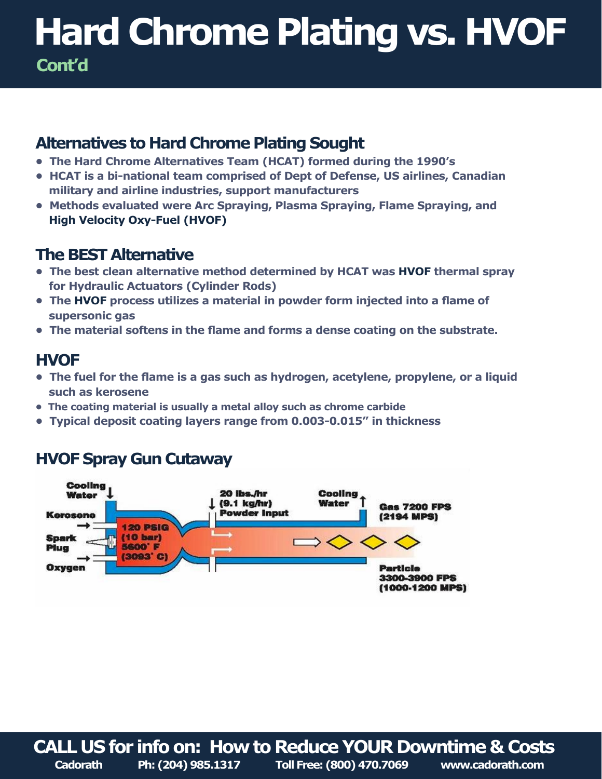## **Hard Chrome Plating vs. HVOF Cont'd**

#### **Alternatives to Hard Chrome Plating Sought**

- **The Hard Chrome Alternatives Team (HCAT) formed during the 1990's**
- **HCAT is a bi-national team comprised of Dept of Defense, US airlines, Canadian military and airline industries, support manufacturers**
- **Methods evaluated were Arc Spraying, Plasma Spraying, Flame Spraying, and High Velocity Oxy-Fuel (HVOF)**

#### **The BEST Alternative**

- **The best clean alternative method determined by HCAT was HVOF thermal spray for Hydraulic Actuators (Cylinder Rods)**
- **The HVOF process utilizes a material in powder form injected into a flame of supersonic gas**
- **The material softens in the flame and forms a dense coating on the substrate.**

#### **HVOF**

- **The fuel for the flame is a gas such as hydrogen, acetylene, propylene, or a liquid such as kerosene**
- **The coating material is usually a metal alloy such as chrome carbide**
- **Typical deposit coating layers range from 0.003-0.015" in thickness**

#### **HVOF Spray Gun Cutaway**



**CALL US for info on: How to Reduce YOUR Downtime & Costs Cadorath Ph: (204) 985.1317 Toll Free: (800) 470.7069 www.cadorath.com**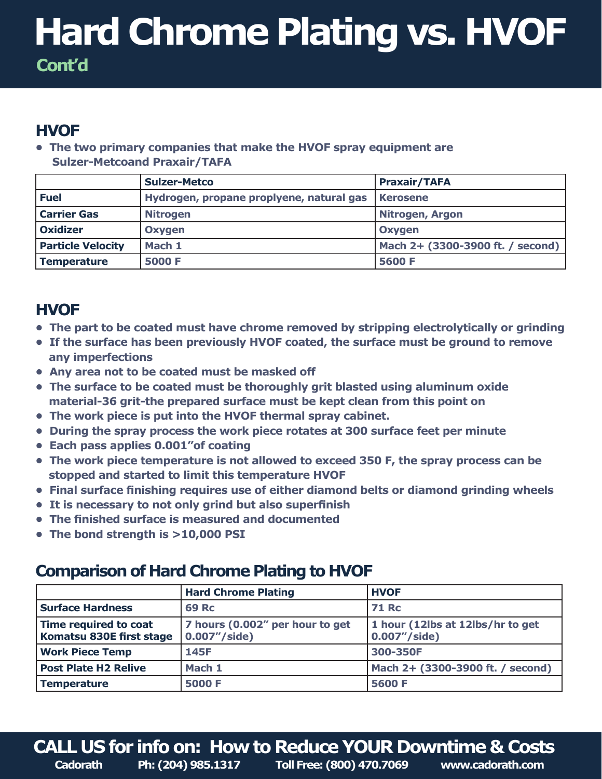## **Hard Chrome Plating vs. HVOF Cont'd**

### **HVOF**

**• The two primary companies that make the HVOF spray equipment are Sulzer-Metcoand Praxair/TAFA**

|                          | <b>Sulzer-Metco</b>                      | <b>Praxair/TAFA</b>              |
|--------------------------|------------------------------------------|----------------------------------|
| <b>Fuel</b>              | Hydrogen, propane proplyene, natural gas | <b>Kerosene</b>                  |
| <b>Carrier Gas</b>       | <b>Nitrogen</b>                          | <b>Nitrogen, Argon</b>           |
| <b>Oxidizer</b>          | Oxygen                                   | Oxygen                           |
| <b>Particle Velocity</b> | Mach 1                                   | Mach 2+ (3300-3900 ft. / second) |
| <b>Temperature</b>       | <b>5000 F</b>                            | 5600 F                           |

### **HVOF**

- **The part to be coated must have chrome removed by stripping electrolytically or grinding**
- **If the surface has been previously HVOF coated, the surface must be ground to remove any imperfections**
- **Any area not to be coated must be masked off**
- **The surface to be coated must be thoroughly grit blasted using aluminum oxide material-36 grit-the prepared surface must be kept clean from this point on**
- **The work piece is put into the HVOF thermal spray cabinet.**
- **During the spray process the work piece rotates at 300 surface feet per minute**
- **Each pass applies 0.001"of coating**
- **The work piece temperature is not allowed to exceed 350 F, the spray process can be stopped and started to limit this temperature HVOF**
- **Final surface finishing requires use of either diamond belts or diamond grinding wheels**
- **It is necessary to not only grind but also superfinish**
- **The finished surface is measured and documented**
- **The bond strength is >10,000 PSI**

#### **Comparison of Hard Chrome Plating to HVOF**

|                                                   | <b>Hard Chrome Plating</b>                       | <b>HVOF</b>                                       |
|---------------------------------------------------|--------------------------------------------------|---------------------------------------------------|
| <b>Surface Hardness</b>                           | <b>69 Rc</b>                                     | <b>71 Rc</b>                                      |
| Time required to coat<br>Komatsu 830E first stage | 7 hours (0.002" per hour to get<br>0.007''/side) | 1 hour (12lbs at 12lbs/hr to get<br>0.007''/side) |
| <b>Work Piece Temp</b>                            | 145F                                             | 300-350F                                          |
| <b>Post Plate H2 Relive</b>                       | Mach 1                                           | Mach 2+ (3300-3900 ft. / second)                  |
| Temperature                                       | 5000 F                                           | 5600 F                                            |